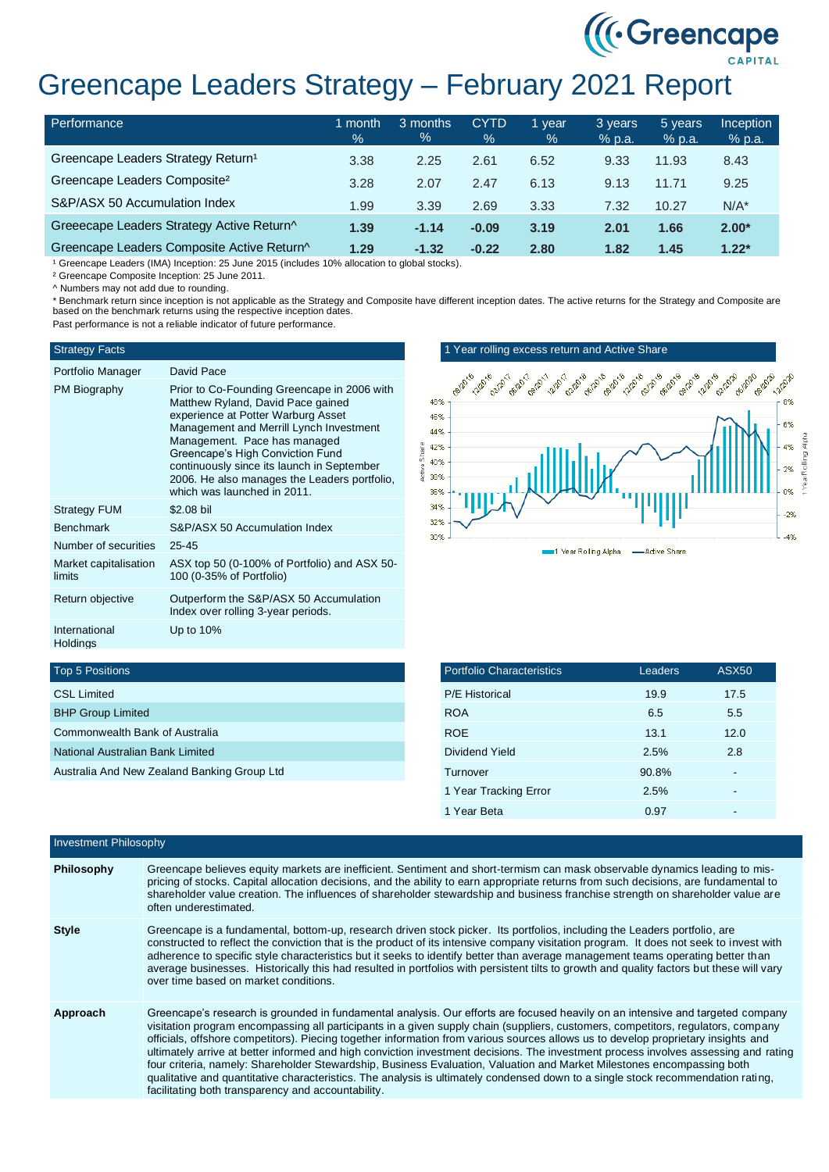# ((Creencape)

# Greencape Leaders Strategy – February 2021 Report

| Performance                                    | month<br>$\frac{1}{2}$ | 3 months<br>% | <b>CYTD</b><br>$\frac{9}{6}$ | l vear<br>$\%$ | 3 years<br>% p.a. | 5 years<br>$%$ p.a. | Inception<br>% p.a. |
|------------------------------------------------|------------------------|---------------|------------------------------|----------------|-------------------|---------------------|---------------------|
| Greencape Leaders Strategy Return <sup>1</sup> | 3.38                   | 2.25          | 2.61                         | 6.52           | 9.33              | 11.93               | 8.43                |
| Greencape Leaders Composite <sup>2</sup>       | 3.28                   | 2.07          | 2.47                         | 6.13           | 9.13              | 11.71               | 9.25                |
| S&P/ASX 50 Accumulation Index                  | 1.99                   | 3.39          | 2.69                         | 3.33           | 7.32              | 10.27               | $N/A^*$             |
| Greeecape Leaders Strategy Active Return^      | 1.39                   | $-1.14$       | $-0.09$                      | 3.19           | 2.01              | 1.66                | $2.00*$             |
| Greencape Leaders Composite Active Return^     | 1.29                   | $-1.32$       | $-0.22$                      | 2.80           | 1.82              | 1.45                | $1.22*$             |

<sup>1</sup> Greencape Leaders (IMA) Inception: 25 June 2015 (includes 10% allocation to global stocks).

² Greencape Composite Inception: 25 June 2011.

^ Numbers may not add due to rounding.

\* Benchmark return since inception is not applicable as the Strategy and Composite have different inception dates. The active returns for the Strategy and Composite are based on the benchmark returns using the respective inception dates. Past performance is not a reliable indicator of future performance.

## Strategy Facts

| Portfolio Manager                | David Pace                                                                                                                                                                                                                                                                                                                                                         |
|----------------------------------|--------------------------------------------------------------------------------------------------------------------------------------------------------------------------------------------------------------------------------------------------------------------------------------------------------------------------------------------------------------------|
| PM Biography                     | Prior to Co-Founding Greencape in 2006 with<br>Matthew Ryland, David Pace gained<br>experience at Potter Warburg Asset<br>Management and Merrill Lynch Investment<br>Management. Pace has managed<br>Greencape's High Conviction Fund<br>continuously since its launch in September<br>2006. He also manages the Leaders portfolio,<br>which was launched in 2011. |
| <b>Strategy FUM</b>              | \$2.08 bil                                                                                                                                                                                                                                                                                                                                                         |
| <b>Benchmark</b>                 | S&P/ASX 50 Accumulation Index                                                                                                                                                                                                                                                                                                                                      |
| Number of securities             | $25 - 45$                                                                                                                                                                                                                                                                                                                                                          |
| Market capitalisation<br>limits  | ASX top 50 (0-100% of Portfolio) and ASX 50-<br>100 (0-35% of Portfolio)                                                                                                                                                                                                                                                                                           |
| Return objective                 | Outperform the S&P/ASX 50 Accumulation<br>Index over rolling 3-year periods.                                                                                                                                                                                                                                                                                       |
| International<br><b>Holdings</b> | Up to $10\%$                                                                                                                                                                                                                                                                                                                                                       |

### 1 Year rolling excess return and Active Share



#### Top 5 Positions

| <b>CSL Limited</b>                          |  |
|---------------------------------------------|--|
| <b>BHP Group Limited</b>                    |  |
| Commonwealth Bank of Australia              |  |
| National Australian Bank Limited            |  |
| Australia And New Zealand Banking Group Ltd |  |

| <b>Portfolio Characteristics</b> | Leaders | ASX <sub>50</sub> |
|----------------------------------|---------|-------------------|
| <b>P/E Historical</b>            | 19.9    | 17.5              |
| <b>ROA</b>                       | 6.5     | 5.5               |
| <b>ROE</b>                       | 13.1    | 12.0              |
| Dividend Yield                   | 2.5%    | 2.8               |
| Turnover                         | 90.8%   |                   |
| 1 Year Tracking Error            | 2.5%    |                   |
| 1 Year Beta                      | 0.97    |                   |

| <b>Investment Philosophy</b> |                                                                                                                                                                                                                                                                                                                                                                                                                                                                                                                                                                                                                                                                                                                                                                                                                                                                    |  |  |
|------------------------------|--------------------------------------------------------------------------------------------------------------------------------------------------------------------------------------------------------------------------------------------------------------------------------------------------------------------------------------------------------------------------------------------------------------------------------------------------------------------------------------------------------------------------------------------------------------------------------------------------------------------------------------------------------------------------------------------------------------------------------------------------------------------------------------------------------------------------------------------------------------------|--|--|
| Philosophy                   | Greencape believes equity markets are inefficient. Sentiment and short-termism can mask observable dynamics leading to mis-<br>pricing of stocks. Capital allocation decisions, and the ability to earn appropriate returns from such decisions, are fundamental to<br>shareholder value creation. The influences of shareholder stewardship and business franchise strength on shareholder value are<br>often underestimated.                                                                                                                                                                                                                                                                                                                                                                                                                                     |  |  |
| <b>Style</b>                 | Greencape is a fundamental, bottom-up, research driven stock picker. Its portfolios, including the Leaders portfolio, are<br>constructed to reflect the conviction that is the product of its intensive company visitation program. It does not seek to invest with<br>adherence to specific style characteristics but it seeks to identify better than average management teams operating better than<br>average businesses. Historically this had resulted in portfolios with persistent tilts to growth and quality factors but these will vary<br>over time based on market conditions.                                                                                                                                                                                                                                                                        |  |  |
| Approach                     | Greencape's research is grounded in fundamental analysis. Our efforts are focused heavily on an intensive and targeted company<br>visitation program encompassing all participants in a given supply chain (suppliers, customers, competitors, regulators, company<br>officials, offshore competitors). Piecing together information from various sources allows us to develop proprietary insights and<br>ultimately arrive at better informed and high conviction investment decisions. The investment process involves assessing and rating<br>four criteria, namely: Shareholder Stewardship, Business Evaluation, Valuation and Market Milestones encompassing both<br>qualitative and quantitative characteristics. The analysis is ultimately condensed down to a single stock recommendation rating,<br>facilitating both transparency and accountability. |  |  |